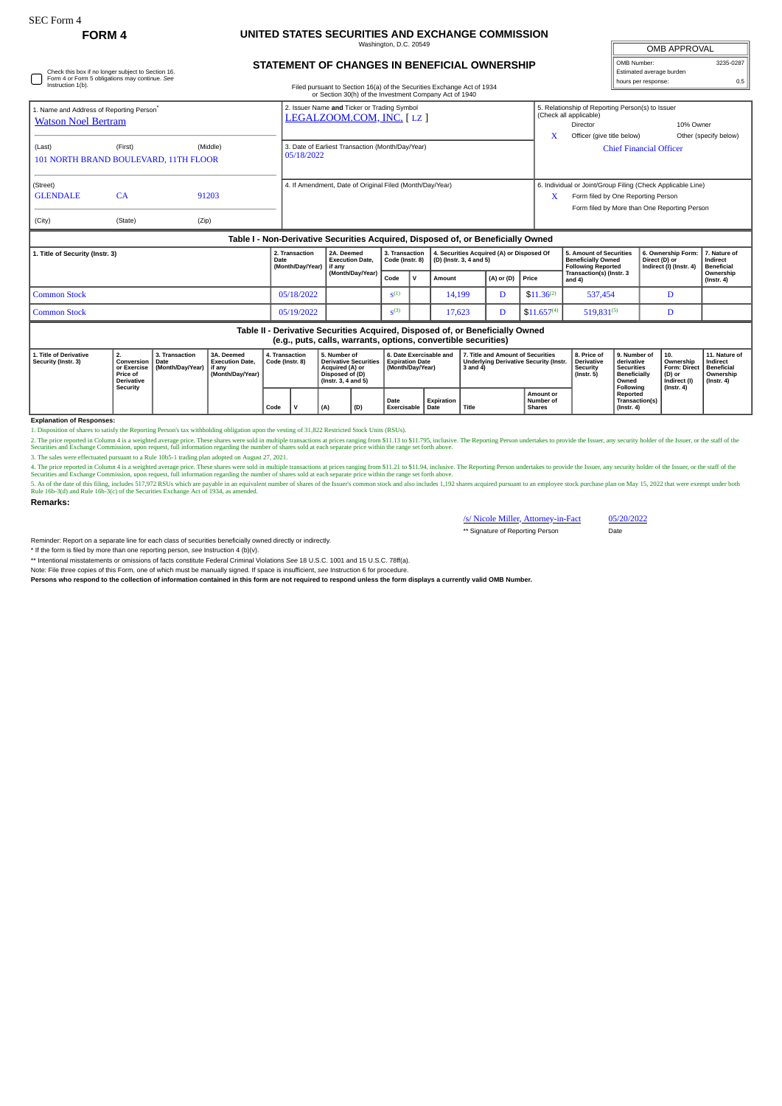Check this box if no longer subject to Section 16. Form 4 or Form 5 obligations may continue. *See* Instruction 1(b).

## **FORM 4 UNITED STATES SECURITIES AND EXCHANGE COMMISSION** Washington, D.C. 20549

**STATEMENT OF CHANGES IN BENEFICIAL OWNERSHIP**

Filed pursuant to Section 16(a) of the Securities Exchange Act of 1934 or Section 30(h) of the Investment Company Act of 1940

|                                                                           | <b>OMB APPROVAL</b>                     |           |
|---------------------------------------------------------------------------|-----------------------------------------|-----------|
|                                                                           | OMB Number:<br>Estimated average burden | 3235-0287 |
|                                                                           | hours per response:                     | 0.5       |
|                                                                           |                                         |           |
| model the contribution of model and the company of the form of the second |                                         |           |

| 1. Name and Address of Reporting Person®<br><b>Watson Noel Bertram</b> |                           |                | 2. Issuer Name and Ticker or Trading Symbol<br>LEGALZOOM.COM, INC. [LZ] | X | 5. Relationship of Reporting Person(s) to Issuer<br>(Check all applicable)<br>Director<br>Officer (give title below)                              | 10% Owner<br>Other (specify below) |  |  |  |  |  |  |  |  |  |
|------------------------------------------------------------------------|---------------------------|----------------|-------------------------------------------------------------------------|---|---------------------------------------------------------------------------------------------------------------------------------------------------|------------------------------------|--|--|--|--|--|--|--|--|--|
| (Last)<br>101 NORTH BRAND BOULEVARD, 11TH FLOOR                        | (First)                   | (Middle)       | 3. Date of Earliest Transaction (Month/Day/Year)<br>05/18/2022          |   | <b>Chief Financial Officer</b>                                                                                                                    |                                    |  |  |  |  |  |  |  |  |  |
| (Street)<br><b>GLENDALE</b><br>(City)                                  | CA <sub></sub><br>(State) | 91203<br>(Zip) | 4. If Amendment, Date of Original Filed (Month/Day/Year)                | X | 6. Individual or Joint/Group Filing (Check Applicable Line)<br>Form filed by One Reporting Person<br>Form filed by More than One Reporting Person |                                    |  |  |  |  |  |  |  |  |  |
|                                                                        |                           |                |                                                                         |   |                                                                                                                                                   |                                    |  |  |  |  |  |  |  |  |  |

|                                 | Table I - Non-Derivative Securities Acquired, Disposed of, or Beneficially Owned |                                                     |                                                          |                                   |              |                                                                          |                      |                 |                                                                                   |                                                                             |                               |  |
|---------------------------------|----------------------------------------------------------------------------------|-----------------------------------------------------|----------------------------------------------------------|-----------------------------------|--------------|--------------------------------------------------------------------------|----------------------|-----------------|-----------------------------------------------------------------------------------|-----------------------------------------------------------------------------|-------------------------------|--|
| 1. Title of Security (Instr. 3) |                                                                                  | 2. Transaction<br>Date<br>(Month/Day/Year)   if any | 2A. Deemed<br><b>Execution Date.</b><br>(Month/Day/Year) | 3. Transaction<br>Code (Instr. 8) |              | 4. Securities Acquired (A) or Disposed Of<br>$ $ (D) (lnstr. 3, 4 and 5) |                      |                 | 5. Amount of Securities<br><b>Beneficially Owned</b><br><b>Following Reported</b> | 6. Ownership Form: 7. Nature of<br>Direct (D) or<br>Indirect (I) (Instr. 4) | Indirect<br><b>Beneficial</b> |  |
|                                 |                                                                                  |                                                     |                                                          | Code                              | $\mathbf{v}$ | Amount                                                                   | $(A)$ or $(D)$ Price |                 | Transaction(s) (Instr. 3<br>and 4)                                                |                                                                             | Ownership<br>$($ lnstr. 4 $)$ |  |
|                                 | l Common Stock                                                                   | 05/18/2022                                          |                                                          | $\varsigma^{(1)}$                 |              | 14,199                                                                   |                      | $$11.36^{(2)}$  | 537,454                                                                           |                                                                             |                               |  |
|                                 | Common Stock                                                                     | 05/19/2022                                          |                                                          | S <sup>(3)</sup>                  |              | 17.623                                                                   |                      | $$11.657^{(4)}$ | 519,831(5)                                                                        |                                                                             |                               |  |
|                                 |                                                                                  |                                                     |                                                          |                                   |              |                                                                          |                      |                 |                                                                                   |                                                                             |                               |  |

## **Table II - Derivative Securities Acquired, Disposed of, or Beneficially Owned (e.g., puts, calls, warrants, options, convertible securities)**

| 1. Title of Derivative<br>Security (Instr. 3) | <br>Conversion<br>or Exercise<br><b>Price of</b><br><b>Derivative</b><br>Security | 3. Transaction<br><b>Date</b><br>(Month/Dav/Year) | 3A. Deemed<br><b>Execution Date.</b><br>l if anv<br>(Month/Dav/Year) | <b>I. Transaction</b><br>l Code (Instr. 8) |              | 5. Number of<br><b>Derivative Securities</b><br>Acquired (A) or<br>Disposed of (D)<br>$($ lnstr. 3. 4 and 5 $)$ |     | 6. Date Exercisable and<br><b>Expiration Date</b><br>Month/Dav/Year) |            | 7. Title and Amount of Securities<br>Underlying Derivative Security (Instr.<br>3 and 4 |                                                | 8. Price of<br><b>Derivative</b><br>Security<br>$($ lnstr. 5 $)$ | l 9. Number of<br>derivative<br><b>Securities</b><br>Beneficially<br>Owned | $\vert$ 10.<br>Ownership<br>Form: Direct   Beneficial<br>(D) or<br>Indirect (I) | 11. Nature of<br>Indirect<br>Ownership<br>$($ lnstr. 4 $)$ |
|-----------------------------------------------|-----------------------------------------------------------------------------------|---------------------------------------------------|----------------------------------------------------------------------|--------------------------------------------|--------------|-----------------------------------------------------------------------------------------------------------------|-----|----------------------------------------------------------------------|------------|----------------------------------------------------------------------------------------|------------------------------------------------|------------------------------------------------------------------|----------------------------------------------------------------------------|---------------------------------------------------------------------------------|------------------------------------------------------------|
|                                               |                                                                                   |                                                   |                                                                      | Code                                       | $\mathbf{v}$ | (A)                                                                                                             | (D) | Date<br>Exercisable   Date                                           | Expiration | Title                                                                                  | <b>Amount or</b><br>Number of<br><b>Shares</b> |                                                                  | Following<br>Reported<br>Transaction(s)<br>$($ lnstr, 4 $)$                | $($ lnstr, 4 $)$                                                                |                                                            |

## **Explanation of Responses:**

1. Disposition of shares to satisfy the Reporting Person's tax withholding obligation upon the vesting of 31,822 Restricted Stock Units (RSUs).<br>2. The price reported in Column 4 is a weighted average price. These hares wer

4. The price reported in Column 4 is a weighted average price. These shares were sold in multiple transactions at prices ranging from \$11.21 to \$11.94, inclusive. The Reporting Person undertakes to provide the Issuer, any

**Remarks:**

/s/ Nicole Miller, Attorney-in-Fact 05/20/2022

\*\* Signature of Reporting Person Date

Reminder: Report on a separate line for each class of securities beneficially owned directly or indirectly.

\* If the form is filed by more than one reporting person, *see* Instruction 4 (b)(v).

\*\* Intentional misstatements or omissions of facts constitute Federal Criminal Violations *See* 18 U.S.C. 1001 and 15 U.S.C. 78ff(a).

Note: File three copies of this Form, one of which must be manually signed. If space is insufficient, *see* Instruction 6 for procedure.

**Persons who respond to the collection of information contained in this form are not required to respond unless the form displays a currently valid OMB Number.**